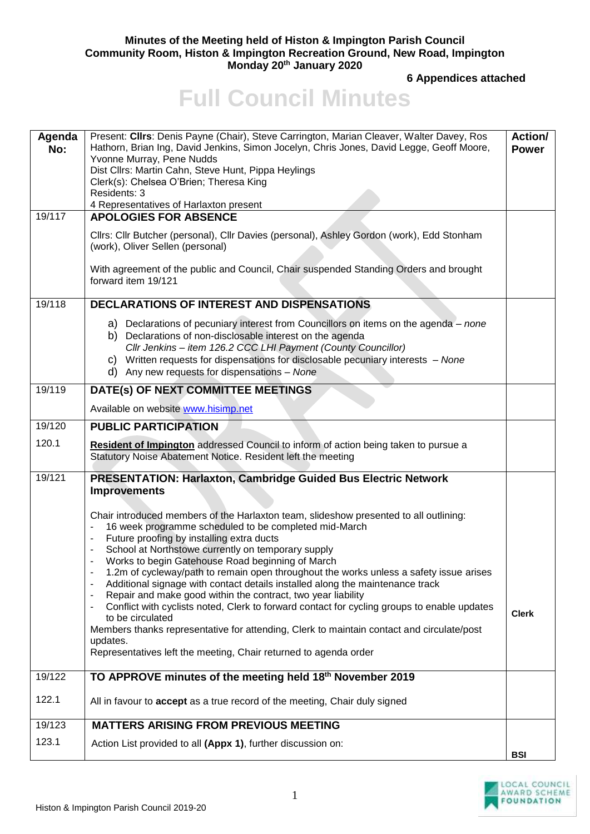## **Minutes of the Meeting held of Histon & Impington Parish Council Community Room, Histon & Impington Recreation Ground, New Road, Impington Monday 20th January 2020**

**6 Appendices attached**

## **Full Council Minutes**

| Agenda<br>No: | Present: Clirs: Denis Payne (Chair), Steve Carrington, Marian Cleaver, Walter Davey, Ros<br>Hathorn, Brian Ing, David Jenkins, Simon Jocelyn, Chris Jones, David Legge, Geoff Moore,<br>Yvonne Murray, Pene Nudds                                                                                                                                      | <b>Action/</b><br><b>Power</b> |
|---------------|--------------------------------------------------------------------------------------------------------------------------------------------------------------------------------------------------------------------------------------------------------------------------------------------------------------------------------------------------------|--------------------------------|
|               | Dist Cllrs: Martin Cahn, Steve Hunt, Pippa Heylings<br>Clerk(s): Chelsea O'Brien; Theresa King                                                                                                                                                                                                                                                         |                                |
|               | Residents: 3                                                                                                                                                                                                                                                                                                                                           |                                |
| 19/117        | 4 Representatives of Harlaxton present                                                                                                                                                                                                                                                                                                                 |                                |
|               | <b>APOLOGIES FOR ABSENCE</b>                                                                                                                                                                                                                                                                                                                           |                                |
|               | Cllrs: Cllr Butcher (personal), Cllr Davies (personal), Ashley Gordon (work), Edd Stonham<br>(work), Oliver Sellen (personal)                                                                                                                                                                                                                          |                                |
|               | With agreement of the public and Council, Chair suspended Standing Orders and brought<br>forward item 19/121                                                                                                                                                                                                                                           |                                |
| 19/118        | <b>DECLARATIONS OF INTEREST AND DISPENSATIONS</b>                                                                                                                                                                                                                                                                                                      |                                |
|               | a) Declarations of pecuniary interest from Councillors on items on the agenda – none<br>b) Declarations of non-disclosable interest on the agenda<br>Cllr Jenkins - item 126.2 CCC LHI Payment (County Councillor)<br>c) Written requests for dispensations for disclosable pecuniary interests - None<br>d) Any new requests for dispensations - None |                                |
| 19/119        | DATE(s) OF NEXT COMMITTEE MEETINGS                                                                                                                                                                                                                                                                                                                     |                                |
|               | Available on website www.hisimp.net                                                                                                                                                                                                                                                                                                                    |                                |
| 19/120        | <b>PUBLIC PARTICIPATION</b>                                                                                                                                                                                                                                                                                                                            |                                |
| 120.1         | Resident of Impington addressed Council to inform of action being taken to pursue a<br>Statutory Noise Abatement Notice. Resident left the meeting                                                                                                                                                                                                     |                                |
| 19/121        | PRESENTATION: Harlaxton, Cambridge Guided Bus Electric Network<br><b>Improvements</b>                                                                                                                                                                                                                                                                  |                                |
|               | Chair introduced members of the Harlaxton team, slideshow presented to all outlining:<br>16 week programme scheduled to be completed mid-March<br>Future proofing by installing extra ducts                                                                                                                                                            |                                |
|               | School at Northstowe currently on temporary supply                                                                                                                                                                                                                                                                                                     |                                |
|               | Works to begin Gatehouse Road beginning of March<br>1.2m of cycleway/path to remain open throughout the works unless a safety issue arises                                                                                                                                                                                                             |                                |
|               | Additional signage with contact details installed along the maintenance track                                                                                                                                                                                                                                                                          |                                |
|               | Repair and make good within the contract, two year liability                                                                                                                                                                                                                                                                                           |                                |
|               | Conflict with cyclists noted, Clerk to forward contact for cycling groups to enable updates<br>to be circulated                                                                                                                                                                                                                                        | <b>Clerk</b>                   |
|               | Members thanks representative for attending, Clerk to maintain contact and circulate/post                                                                                                                                                                                                                                                              |                                |
|               | updates.<br>Representatives left the meeting, Chair returned to agenda order                                                                                                                                                                                                                                                                           |                                |
| 19/122        | TO APPROVE minutes of the meeting held 18th November 2019                                                                                                                                                                                                                                                                                              |                                |
| 122.1         | All in favour to accept as a true record of the meeting, Chair duly signed                                                                                                                                                                                                                                                                             |                                |
| 19/123        | <b>MATTERS ARISING FROM PREVIOUS MEETING</b>                                                                                                                                                                                                                                                                                                           |                                |
| 123.1         | Action List provided to all (Appx 1), further discussion on:                                                                                                                                                                                                                                                                                           | <b>BSI</b>                     |

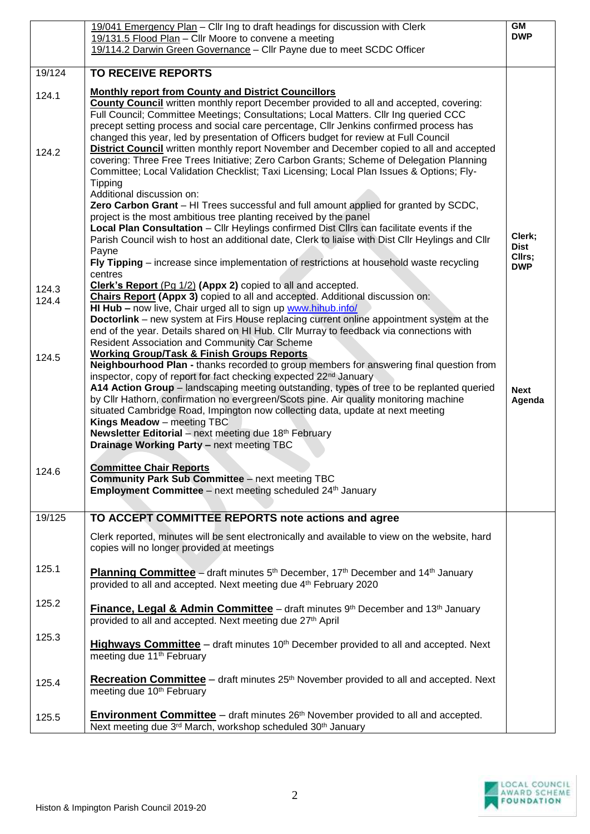|                | 19/041 Emergency Plan - Cllr Ing to draft headings for discussion with Clerk<br>19/131.5 Flood Plan - Cllr Moore to convene a meeting<br>19/114.2 Darwin Green Governance - Cllr Payne due to meet SCDC Officer                                                                                                                                                                                                                                                                                                                                                                                                                                                                                                                                                                                                      | <b>GM</b><br><b>DWP</b>                       |
|----------------|----------------------------------------------------------------------------------------------------------------------------------------------------------------------------------------------------------------------------------------------------------------------------------------------------------------------------------------------------------------------------------------------------------------------------------------------------------------------------------------------------------------------------------------------------------------------------------------------------------------------------------------------------------------------------------------------------------------------------------------------------------------------------------------------------------------------|-----------------------------------------------|
| 19/124         | <b>TO RECEIVE REPORTS</b>                                                                                                                                                                                                                                                                                                                                                                                                                                                                                                                                                                                                                                                                                                                                                                                            |                                               |
| 124.1          | <b>Monthly report from County and District Councillors</b><br><b>County Council</b> written monthly report December provided to all and accepted, covering:<br>Full Council; Committee Meetings; Consultations; Local Matters. Cllr Ing queried CCC<br>precept setting process and social care percentage, Cllr Jenkins confirmed process has<br>changed this year, led by presentation of Officers budget for review at Full Council                                                                                                                                                                                                                                                                                                                                                                                |                                               |
| 124.2          | <b>District Council</b> written monthly report November and December copied to all and accepted<br>covering: Three Free Trees Initiative; Zero Carbon Grants; Scheme of Delegation Planning<br>Committee; Local Validation Checklist; Taxi Licensing; Local Plan Issues & Options; Fly-<br><b>Tipping</b><br>Additional discussion on:<br>Zero Carbon Grant - HI Trees successful and full amount applied for granted by SCDC,<br>project is the most ambitious tree planting received by the panel<br>Local Plan Consultation - Cllr Heylings confirmed Dist Cllrs can facilitate events if the<br>Parish Council wish to host an additional date, Clerk to liaise with Dist Cllr Heylings and Cllr<br>Payne<br>Fly Tipping – increase since implementation of restrictions at household waste recycling<br>centres | Clerk;<br><b>Dist</b><br>Cllrs;<br><b>DWP</b> |
| 124.3<br>124.4 | Clerk's Report (Pg 1/2) (Appx 2) copied to all and accepted.<br>Chairs Report (Appx 3) copied to all and accepted. Additional discussion on:<br>HI Hub - now live, Chair urged all to sign up www.hihub.info/<br><b>Doctorlink</b> – new system at Firs House replacing current online appointment system at the<br>end of the year. Details shared on HI Hub. Cllr Murray to feedback via connections with<br><b>Resident Association and Community Car Scheme</b>                                                                                                                                                                                                                                                                                                                                                  |                                               |
| 124.5          | <b>Working Group/Task &amp; Finish Groups Reports</b><br>Neighbourhood Plan - thanks recorded to group members for answering final question from<br>inspector, copy of report for fact checking expected 22 <sup>nd</sup> January<br>A14 Action Group - landscaping meeting outstanding, types of tree to be replanted queried<br>by Cllr Hathorn, confirmation no evergreen/Scots pine. Air quality monitoring machine<br>situated Cambridge Road, Impington now collecting data, update at next meeting<br>Kings Meadow - meeting TBC<br>Newsletter Editorial - next meeting due 18th February<br>Drainage Working Party - next meeting TBC                                                                                                                                                                        | <b>Next</b><br>Agenda                         |
| 124.6          | <b>Committee Chair Reports</b><br><b>Community Park Sub Committee</b> - next meeting TBC<br>Employment Committee - next meeting scheduled 24 <sup>th</sup> January                                                                                                                                                                                                                                                                                                                                                                                                                                                                                                                                                                                                                                                   |                                               |
| 19/125         | TO ACCEPT COMMITTEE REPORTS note actions and agree                                                                                                                                                                                                                                                                                                                                                                                                                                                                                                                                                                                                                                                                                                                                                                   |                                               |
|                | Clerk reported, minutes will be sent electronically and available to view on the website, hard<br>copies will no longer provided at meetings                                                                                                                                                                                                                                                                                                                                                                                                                                                                                                                                                                                                                                                                         |                                               |
| 125.1          | Planning Committee - draft minutes 5th December, 17th December and 14th January<br>provided to all and accepted. Next meeting due 4th February 2020                                                                                                                                                                                                                                                                                                                                                                                                                                                                                                                                                                                                                                                                  |                                               |
| 125.2          | <b>Finance, Legal &amp; Admin Committee</b> – draft minutes 9th December and 13th January<br>provided to all and accepted. Next meeting due 27th April                                                                                                                                                                                                                                                                                                                                                                                                                                                                                                                                                                                                                                                               |                                               |
| 125.3          | <b>Highways Committee</b> – draft minutes 10 <sup>th</sup> December provided to all and accepted. Next<br>meeting due 11 <sup>th</sup> February                                                                                                                                                                                                                                                                                                                                                                                                                                                                                                                                                                                                                                                                      |                                               |
| 125.4          | <b>Recreation Committee</b> – draft minutes $25th$ November provided to all and accepted. Next<br>meeting due 10 <sup>th</sup> February                                                                                                                                                                                                                                                                                                                                                                                                                                                                                                                                                                                                                                                                              |                                               |
| 125.5          | <b>Environment Committee</b> – draft minutes 26 <sup>th</sup> November provided to all and accepted.<br>Next meeting due 3rd March, workshop scheduled 30th January                                                                                                                                                                                                                                                                                                                                                                                                                                                                                                                                                                                                                                                  |                                               |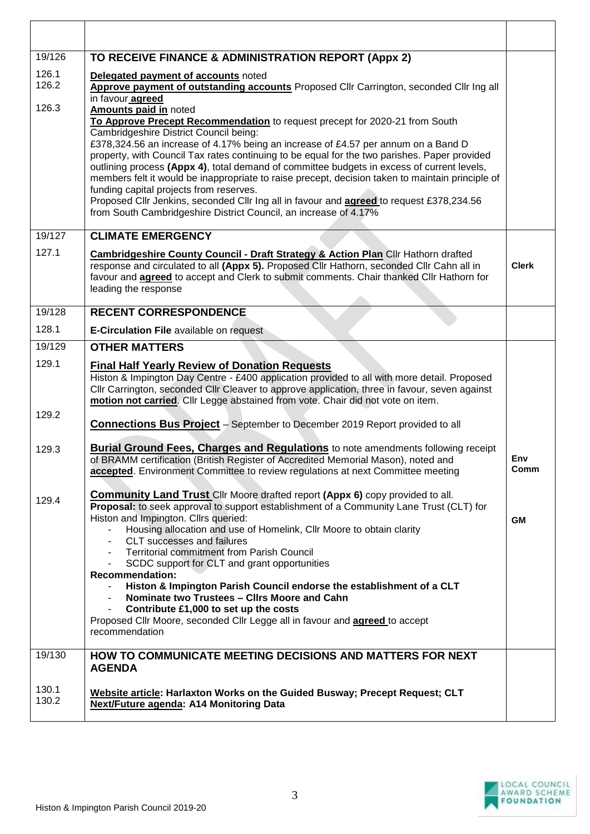| 19/126                  | TO RECEIVE FINANCE & ADMINISTRATION REPORT (Appx 2)                                                                                                                                                                                                                                                                                                                                                                                                                                                                                                                                                                                                                                                                                                                                                                                                                                                    |              |
|-------------------------|--------------------------------------------------------------------------------------------------------------------------------------------------------------------------------------------------------------------------------------------------------------------------------------------------------------------------------------------------------------------------------------------------------------------------------------------------------------------------------------------------------------------------------------------------------------------------------------------------------------------------------------------------------------------------------------------------------------------------------------------------------------------------------------------------------------------------------------------------------------------------------------------------------|--------------|
| 126.1<br>126.2<br>126.3 | Delegated payment of accounts noted<br>Approve payment of outstanding accounts Proposed Cllr Carrington, seconded Cllr Ing all<br>in favour agreed<br>Amounts paid in noted<br>To Approve Precept Recommendation to request precept for 2020-21 from South<br>Cambridgeshire District Council being:<br>£378,324.56 an increase of 4.17% being an increase of £4.57 per annum on a Band D<br>property, with Council Tax rates continuing to be equal for the two parishes. Paper provided<br>outlining process (Appx 4), total demand of committee budgets in excess of current levels,<br>members felt it would be inappropriate to raise precept, decision taken to maintain principle of<br>funding capital projects from reserves.<br>Proposed Cllr Jenkins, seconded Cllr Ing all in favour and agreed to request £378,234.56<br>from South Cambridgeshire District Council, an increase of 4.17% |              |
| 19/127                  | <b>CLIMATE EMERGENCY</b>                                                                                                                                                                                                                                                                                                                                                                                                                                                                                                                                                                                                                                                                                                                                                                                                                                                                               |              |
| 127.1                   | <b>Cambridgeshire County Council - Draft Strategy &amp; Action Plan Cllr Hathorn drafted</b><br>response and circulated to all (Appx 5). Proposed Cllr Hathorn, seconded Cllr Cahn all in<br>favour and <b>agreed</b> to accept and Clerk to submit comments. Chair thanked Cllr Hathorn for<br>leading the response                                                                                                                                                                                                                                                                                                                                                                                                                                                                                                                                                                                   | <b>Clerk</b> |
| 19/128                  | <b>RECENT CORRESPONDENCE</b>                                                                                                                                                                                                                                                                                                                                                                                                                                                                                                                                                                                                                                                                                                                                                                                                                                                                           |              |
| 128.1                   | <b>E-Circulation File available on request</b>                                                                                                                                                                                                                                                                                                                                                                                                                                                                                                                                                                                                                                                                                                                                                                                                                                                         |              |
| 19/129                  | <b>OTHER MATTERS</b>                                                                                                                                                                                                                                                                                                                                                                                                                                                                                                                                                                                                                                                                                                                                                                                                                                                                                   |              |
| 129.1                   | <b>Final Half Yearly Review of Donation Requests</b><br>Histon & Impington Day Centre - £400 application provided to all with more detail. Proposed<br>Cllr Carrington, seconded Cllr Cleaver to approve application, three in favour, seven against<br>motion not carried. Cllr Legge abstained from vote. Chair did not vote on item.                                                                                                                                                                                                                                                                                                                                                                                                                                                                                                                                                                |              |
| 129.2                   | <b>Connections Bus Project</b> - September to December 2019 Report provided to all                                                                                                                                                                                                                                                                                                                                                                                                                                                                                                                                                                                                                                                                                                                                                                                                                     |              |
| 129.3                   | <b>Burial Ground Fees, Charges and Regulations</b> to note amendments following receipt<br>of BRAMM certification (British Register of Accredited Memorial Mason), noted and<br>accepted. Environment Committee to review regulations at next Committee meeting                                                                                                                                                                                                                                                                                                                                                                                                                                                                                                                                                                                                                                        | Env<br>Comm  |
| 129.4                   | <b>Community Land Trust</b> Cllr Moore drafted report (Appx 6) copy provided to all.<br>Proposal: to seek approval to support establishment of a Community Lane Trust (CLT) for<br>Histon and Impington. Cllrs queried:<br>Housing allocation and use of Homelink, Cllr Moore to obtain clarity<br><b>CLT</b> successes and failures<br><b>Territorial commitment from Parish Council</b><br>SCDC support for CLT and grant opportunities<br><b>Recommendation:</b><br>Histon & Impington Parish Council endorse the establishment of a CLT<br>Nominate two Trustees - Clirs Moore and Cahn<br>Contribute £1,000 to set up the costs<br>Proposed Cllr Moore, seconded Cllr Legge all in favour and <b>agreed</b> to accept<br>recommendation                                                                                                                                                           | <b>GM</b>    |
| 19/130                  | HOW TO COMMUNICATE MEETING DECISIONS AND MATTERS FOR NEXT<br><b>AGENDA</b>                                                                                                                                                                                                                                                                                                                                                                                                                                                                                                                                                                                                                                                                                                                                                                                                                             |              |
| 130.1<br>130.2          | Website article: Harlaxton Works on the Guided Busway; Precept Request; CLT<br><b>Next/Future agenda: A14 Monitoring Data</b>                                                                                                                                                                                                                                                                                                                                                                                                                                                                                                                                                                                                                                                                                                                                                                          |              |